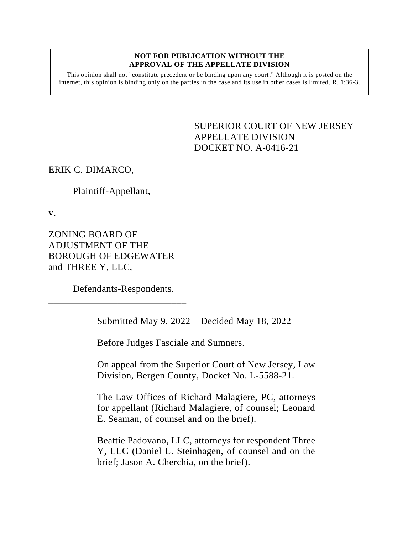## **NOT FOR PUBLICATION WITHOUT THE APPROVAL OF THE APPELLATE DIVISION**

This opinion shall not "constitute precedent or be binding upon any court." Although it is posted on the internet, this opinion is binding only on the parties in the case and its use in other cases is limited.  $R_1$  1:36-3.

> <span id="page-0-0"></span>SUPERIOR COURT OF NEW JERSEY APPELLATE DIVISION DOCKET NO. A-0416-21

ERIK C. DIMARCO,

## Plaintiff-Appellant,

v.

ZONING BOARD OF ADJUSTMENT OF THE BOROUGH OF EDGEWATER and THREE Y, LLC,

Defendants-Respondents.

\_\_\_\_\_\_\_\_\_\_\_\_\_\_\_\_\_\_\_\_\_\_\_\_\_\_\_\_

Submitted May 9, 2022 – Decided May 18, 2022

Before Judges Fasciale and Sumners.

On appeal from the Superior Court of New Jersey, Law Division, Bergen County, Docket No. L-5588-21.

The Law Offices of Richard Malagiere, PC, attorneys for appellant (Richard Malagiere, of counsel; Leonard E. Seaman, of counsel and on the brief).

Beattie Padovano, LLC, attorneys for respondent Three Y, LLC (Daniel L. Steinhagen, of counsel and on the brief; Jason A. Cherchia, on the brief).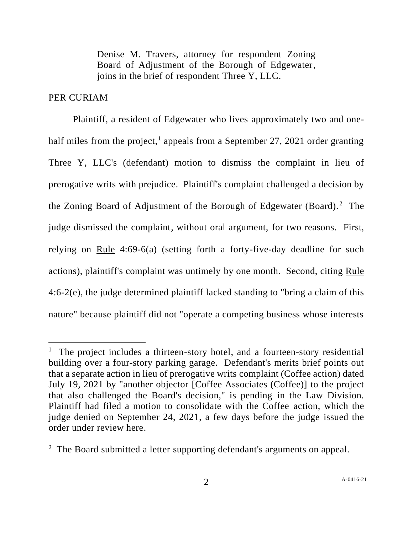Denise M. Travers, attorney for respondent Zoning Board of Adjustment of the Borough of Edgewater, joins in the brief of respondent Three Y, LLC.

## PER CURIAM

Plaintiff, a resident of Edgewater who lives approximately two and onehalf miles from the project,<sup>1</sup> appeals from a September 27, 2021 order granting Three Y, LLC's (defendant) motion to dismiss the complaint in lieu of prerogative writs with prejudice. Plaintiff's complaint challenged a decision by the Zoning Board of Adjustment of the Borough of Edgewater (Board).<sup>2</sup> The judge dismissed the complaint, without oral argument, for two reasons. First, relying on Rule 4:69-6(a) (setting forth a forty-five-day deadline for such actions), plaintiff's complaint was untimely by one month. Second, citing Rule 4:6-2(e), the judge determined plaintiff lacked standing to "bring a claim of this nature" because plaintiff did not "operate a competing business whose interests

<sup>&</sup>lt;sup>1</sup> The project includes a thirteen-story hotel, and a fourteen-story residential building over a four-story parking garage. Defendant's merits brief points out that a separate action in lieu of prerogative writs complaint (Coffee action) dated July 19, 2021 by "another objector [Coffee Associates (Coffee)] to the project that also challenged the Board's decision," is pending in the Law Division. Plaintiff had filed a motion to consolidate with the Coffee action, which the judge denied on September 24, 2021, a few days before the judge issued the order under review here.

<sup>&</sup>lt;sup>2</sup> The Board submitted a letter supporting defendant's arguments on appeal.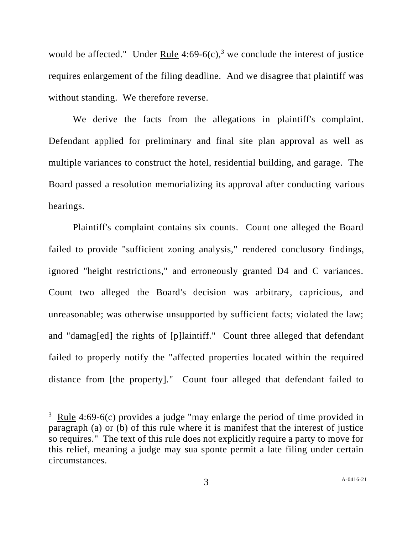would be affected." Under Rule  $4:69-6(c)$ ,<sup>3</sup> we conclude the interest of justice requires enlargement of the filing deadline. And we disagree that plaintiff was without standing. We therefore reverse.

We derive the facts from the allegations in plaintiff's complaint. Defendant applied for preliminary and final site plan approval as well as multiple variances to construct the hotel, residential building, and garage. The Board passed a resolution memorializing its approval after conducting various hearings.

Plaintiff's complaint contains six counts. Count one alleged the Board failed to provide "sufficient zoning analysis," rendered conclusory findings, ignored "height restrictions," and erroneously granted D4 and C variances. Count two alleged the Board's decision was arbitrary, capricious, and unreasonable; was otherwise unsupported by sufficient facts; violated the law; and "damag[ed] the rights of [p]laintiff." Count three alleged that defendant failed to properly notify the "affected properties located within the required distance from [the property]." Count four alleged that defendant failed to

 $3 \text{ Rule } 4:69-6(c)$  provides a judge "may enlarge the period of time provided in paragraph (a) or (b) of this rule where it is manifest that the interest of justice so requires." The text of this rule does not explicitly require a party to move for this relief, meaning a judge may sua sponte permit a late filing under certain circumstances.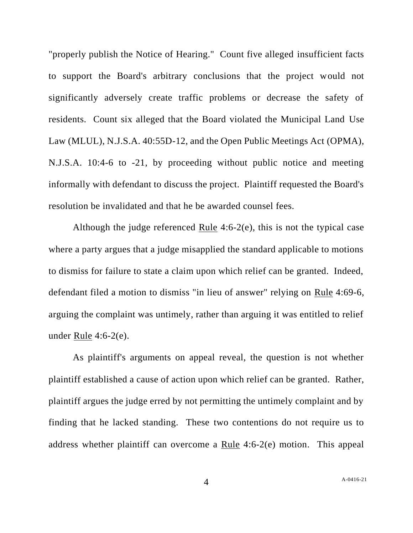"properly publish the Notice of Hearing." Count five alleged insufficient facts to support the Board's arbitrary conclusions that the project would not significantly adversely create traffic problems or decrease the safety of residents. Count six alleged that the Board violated the Municipal Land Use Law (MLUL), N.J.S.A. 40:55D-12, and the Open Public Meetings Act (OPMA), N.J.S.A. 10:4-6 to -21, by proceeding without public notice and meeting informally with defendant to discuss the project. Plaintiff requested the Board's resolution be invalidated and that he be awarded counsel fees.

Although the judge referenced Rule 4:6-2(e), this is not the typical case where a party argues that a judge misapplied the standard applicable to motions to dismiss for failure to state a claim upon which relief can be granted. Indeed, defendant filed a motion to dismiss "in lieu of answer" relying on Rule 4:69-6, arguing the complaint was untimely, rather than arguing it was entitled to relief under <u>Rule</u> 4:6-2 $(e)$ .

As plaintiff's arguments on appeal reveal, the question is not whether plaintiff established a cause of action upon which relief can be granted. Rather, plaintiff argues the judge erred by not permitting the untimely complaint and by finding that he lacked standing. These two contentions do not require us to address whether plaintiff can overcome a Rule 4:6-2(e) motion. This appeal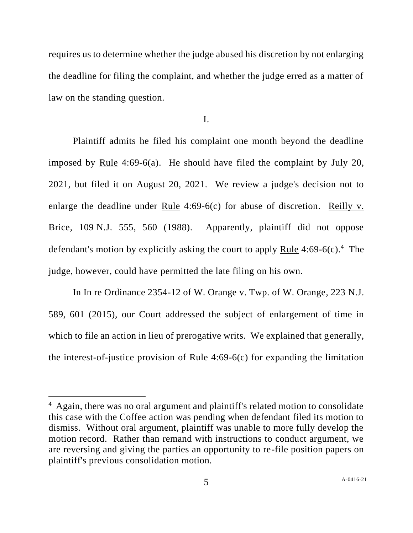requires us to determine whether the judge abused his discretion by not enlarging the deadline for filing the complaint, and whether the judge erred as a matter of law on the standing question.

I.

Plaintiff admits he filed his complaint one month beyond the deadline imposed by Rule 4:69-6(a). He should have filed the complaint by July 20, 2021, but filed it on August 20, 2021. We review a judge's decision not to enlarge the deadline under Rule 4:69-6(c) for abuse of discretion. Reilly v. Brice, 109 N.J. 555, 560 (1988). Apparently, plaintiff did not oppose defendant's motion by explicitly asking the court to apply  $Rule 4:69-6(c).$ <sup>4</sup> The judge, however, could have permitted the late filing on his own.

In In re Ordinance 2354-12 of W. Orange v. Twp. of W. Orange, 223 N.J. 589, 601 (2015), our Court addressed the subject of enlargement of time in which to file an action in lieu of prerogative writs. We explained that generally, the interest-of-justice provision of Rule 4:69-6(c) for expanding the limitation

<sup>&</sup>lt;sup>4</sup> Again, there was no oral argument and plaintiff's related motion to consolidate this case with the Coffee action was pending when defendant filed its motion to dismiss. Without oral argument, plaintiff was unable to more fully develop the motion record. Rather than remand with instructions to conduct argument, we are reversing and giving the parties an opportunity to re-file position papers on plaintiff's previous consolidation motion.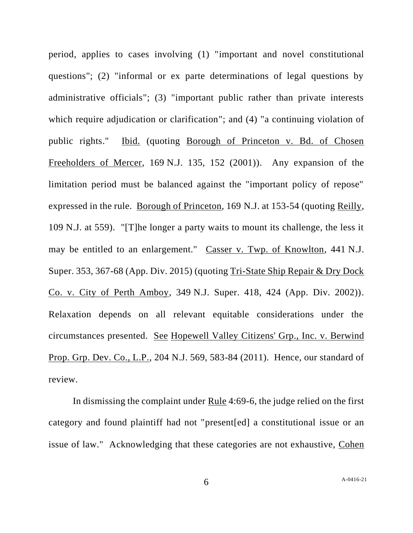period, applies to cases involving (1) "important and novel constitutional questions"; (2) "informal or ex parte determinations of legal questions by administrative officials"; (3) "important public rather than private interests which require adjudication or clarification"; and (4) "a continuing violation of public rights." Ibid. (quoting Borough of Princeton v. Bd. of Chosen Freeholders of Mercer, 169 N.J. 135, 152 (2001)). Any expansion of the limitation period must be balanced against the "important policy of repose" expressed in the rule. Borough of Princeton, 169 N.J. at 153-54 (quoting Reilly, 109 N.J. at 559). "[T]he longer a party waits to mount its challenge, the less it may be entitled to an enlargement." Casser v. Twp. of Knowlton, 441 N.J. Super. 353, 367-68 (App. Div. 2015) (quoting Tri-State Ship Repair & Dry Dock Co. v. City of Perth Amboy, 349 N.J. Super. 418, 424 (App. Div. 2002)). Relaxation depends on all relevant equitable considerations under the circumstances presented. See Hopewell Valley Citizens' Grp., Inc. v. Berwind Prop. Grp. Dev. Co., L.P., 204 N.J. 569, 583-84 (2011). Hence, our standard of review.

In dismissing the complaint under Rule 4:69-6, the judge relied on the first category and found plaintiff had not "present[ed] a constitutional issue or an issue of law." Acknowledging that these categories are not exhaustive, Cohen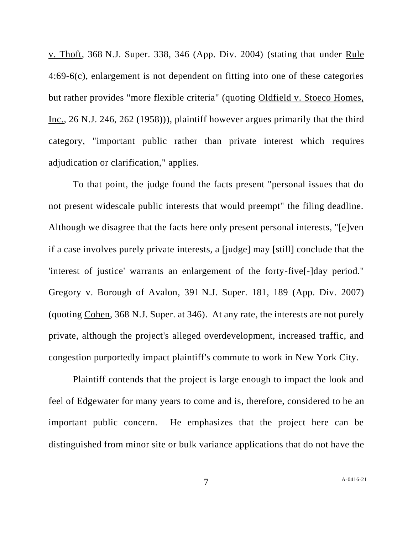v. Thoft, 368 N.J. Super. 338, 346 (App. Div. 2004) (stating that under Rule 4:69-6(c), enlargement is not dependent on fitting into one of these categories but rather provides "more flexible criteria" (quoting Oldfield v. Stoeco Homes, Inc., 26 N.J. 246, 262 (1958))), plaintiff however argues primarily that the third category, "important public rather than private interest which requires adjudication or clarification," applies.

To that point, the judge found the facts present "personal issues that do not present widescale public interests that would preempt" the filing deadline. Although we disagree that the facts here only present personal interests, "[e]ven if a case involves purely private interests, a [judge] may [still] conclude that the 'interest of justice' warrants an enlargement of the forty-five[-]day period." Gregory v. Borough of Avalon, 391 N.J. Super. 181, 189 (App. Div. 2007) (quoting Cohen, 368 N.J. Super. at 346). At any rate, the interests are not purely private, although the project's alleged overdevelopment, increased traffic, and congestion purportedly impact plaintiff's commute to work in New York City.

Plaintiff contends that the project is large enough to impact the look and feel of Edgewater for many years to come and is, therefore, considered to be an important public concern. He emphasizes that the project here can be distinguished from minor site or bulk variance applications that do not have the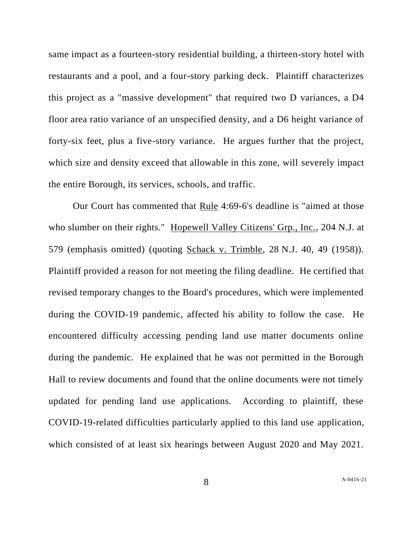same impact as a fourteen-story residential building, a thirteen-story hotel with restaurants and a pool, and a four-story parking deck. Plaintiff characterizes this project as a "massive development" that required two D variances, a D4 floor area ratio variance of an unspecified density, and a D6 height variance of forty-six feet, plus a five-story variance. He argues further that the project, which size and density exceed that allowable in this zone, will severely impact the entire Borough, its services, schools, and traffic.

Our Court has commented that Rule 4:69-6's deadline is "aimed at those who slumber on their rights." Hopewell Valley Citizens' Grp., Inc., 204 N.J. at 579 (emphasis omitted) (quoting Schack v. Trimble, 28 N.J. 40, 49 (1958)). Plaintiff provided a reason for not meeting the filing deadline. He certified that revised temporary changes to the Board's procedures, which were implemented during the COVID-19 pandemic, affected his ability to follow the case. He encountered difficulty accessing pending land use matter documents online during the pandemic. He explained that he was not permitted in the Borough Hall to review documents and found that the online documents were not timely updated for pending land use applications. According to plaintiff, these COVID-19-related difficulties particularly applied to this land use application, which consisted of at least six hearings between August 2020 and May 2021.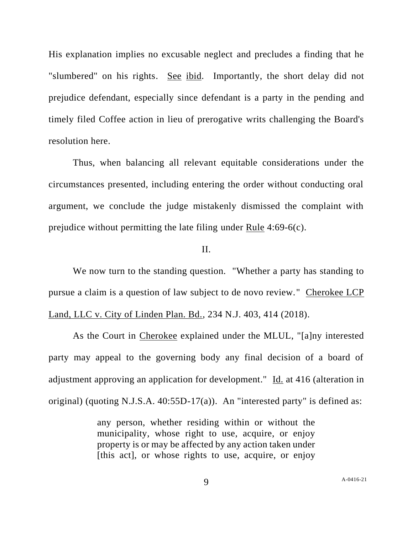His explanation implies no excusable neglect and precludes a finding that he "slumbered" on his rights. See ibid. Importantly, the short delay did not prejudice defendant, especially since defendant is a party in the pending and timely filed Coffee action in lieu of prerogative writs challenging the Board's resolution here.

Thus, when balancing all relevant equitable considerations under the circumstances presented, including entering the order without conducting oral argument, we conclude the judge mistakenly dismissed the complaint with prejudice without permitting the late filing under Rule 4:69-6(c).

## II.

We now turn to the standing question. "Whether a party has standing to pursue a claim is a question of law subject to de novo review." Cherokee LCP Land, LLC v. City of Linden Plan. Bd., 234 N.J. 403, 414 (2018).

As the Court in Cherokee explained under the MLUL, "[a]ny interested party may appeal to the governing body any final decision of a board of adjustment approving an application for development." Id. at 416 (alteration in original) (quoting N.J.S.A. 40:55D-17(a)). An "interested party" is defined as:

> any person, whether residing within or without the municipality, whose right to use, acquire, or enjoy property is or may be affected by any action taken under [this act], or whose rights to use, acquire, or enjoy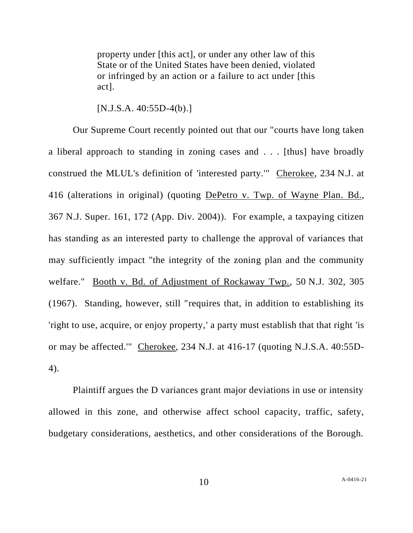property under [this act], or under any other law of this State or of the United States have been denied, violated or infringed by an action or a failure to act under [this act].

[N.J.S.A. 40:55D-4(b).]

Our Supreme Court recently pointed out that our "courts have long taken a liberal approach to standing in zoning cases and . . . [thus] have broadly construed the MLUL's definition of 'interested party.'" Cherokee, 234 N.J. at 416 (alterations in original) (quoting DePetro v. Twp. of Wayne Plan. Bd., 367 N.J. Super. 161, 172 (App. Div. 2004)). For example, a taxpaying citizen has standing as an interested party to challenge the approval of variances that may sufficiently impact "the integrity of the zoning plan and the community welfare." Booth v. Bd. of Adjustment of Rockaway Twp., 50 N.J. 302, 305 (1967). Standing, however, still "requires that, in addition to establishing its 'right to use, acquire, or enjoy property,' a party must establish that that right 'is or may be affected.'" Cherokee, 234 N.J. at 416-17 (quoting N.J.S.A. 40:55D-4).

Plaintiff argues the D variances grant major deviations in use or intensity allowed in this zone, and otherwise affect school capacity, traffic, safety, budgetary considerations, aesthetics, and other considerations of the Borough.